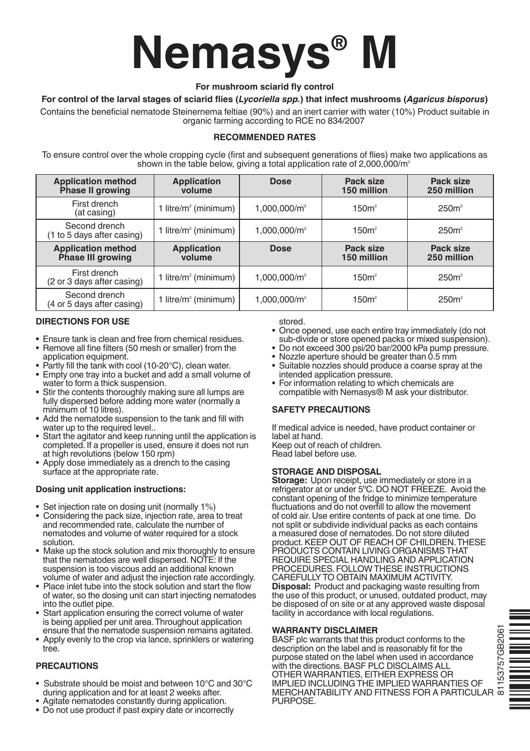# **Nemasys® M**

#### **For mushroom sciarid fly control**

# **For control of the larval stages of sciarid flies (***Lycoriella spp.***) that infect mushrooms (***Agaricus bisporus***)**

Contains the beneficial nematode Steinernema feltiae (90%) and an inert carrier with water (10%) Product suitable in organic farming according to RCE no 834/2007

# **RECOMMENDED RATES**

To ensure control over the whole cropping cycle (first and subsequent generations of flies) make two applications as shown in the table below, giving a total application rate of  $2,000,000/m^2$ 

| <b>Application method</b><br>Phase II growing  | <b>Application</b><br>volume     | <b>Dose</b>              | Pack size<br>150 million | Pack size<br>250 million |
|------------------------------------------------|----------------------------------|--------------------------|--------------------------|--------------------------|
| First drench<br>(at casing)                    | 1 litre/m <sup>2</sup> (minimum) | $1,000,000/m^2$          | 150m <sup>2</sup>        | 250m <sup>2</sup>        |
| Second drench<br>(1 to 5 days after casing)    | 1 litre/m <sup>2</sup> (minimum) | 1,000,000/m <sup>2</sup> | 150m <sup>2</sup>        | 250m <sup>2</sup>        |
| <b>Application method</b><br>Phase III growing | <b>Application</b><br>volume     | <b>Dose</b>              | Pack size<br>150 million | Pack size<br>250 million |
| First drench<br>(2 or 3 days after casing)     | 1 litre/ $m^2$ (minimum)         | $1,000,000/m^2$          | 150m <sup>2</sup>        | 250m <sup>2</sup>        |
| Second drench<br>(4 or 5 days after casing)    | 1 litre/m <sup>2</sup> (minimum) | 1,000,000/m <sup>2</sup> | 150m <sup>2</sup>        | 250m <sup>2</sup>        |

## **DIRECTIONS FOR USE**

- Ensure tank is clean and free from chemical residues.
- Remove all fine filters (50 mesh or smaller) from the application equipment.
- Partly fill the tank with cool (10-20°C), clean water.
- Empty one tray into a bucket and add a small volume of water to form a thick suspension.
- Stir the contents thoroughly making sure all lumps are fully dispersed before adding more water (normally a minimum of 10 litres).
- Add the nematode suspension to the tank and fill with water up to the required level..
- Start the agitator and keep running until the application is completed. If a propeller is used, ensure it does not run at high revolutions (below 150 rpm)
- Apply dose immediately as a drench to the casing surface at the appropriate rate.

### **Dosing unit application instructions:**

- 
- Set injection rate on dosing unit (normally 1%) Considering the pack size, injection rate, area to treat and recommended rate, calculate the number of nematodes and volume of water required for a stock solution.
- Make up the stock solution and mix thoroughly to ensure that the nematodes are well dispersed. NOTE: If the suspension is too viscous add an additional known volume of water and adjust the injection rate accordingly.
- Place inlet tube into the stock solution and start the flow of water, so the dosing unit can start injecting nematodes into the outlet pipe.
- Start application ensuring the correct volume of water is being applied per unit area.Throughout application ensure that the nematode suspension remains agitated.
- Apply evenly to the crop via lance, sprinklers or watering tree.

### **PRECAUTIONS**

- •Substrate should be moist and between 10°C and 30°C during application and for at least 2 weeks after.
- Agitate nematodes constantly during application.
- Do not use product if past expiry date or incorrectly

stored.

- Once opened, use each entire tray immediately (do not sub-divide or store opened packs or mixed suspension).<br>• Do not exceed 300 psi/20 bar/2000 kPa pump pressure.
- 
- Nozzle aperture should be greater than 0.5 mm<br>• Suitable nozzles should produce a coarse spray at the
- intended application pressure.
- For information relating to which chemicals are compatible with Nemasys® M ask your distributor.

### **SAFETY PRECAUTIONS**

If medical advice is needed, have product container or label at hand.

Keep out of reach of children. Read label before use.

# **STORAGE AND DISPOSAL**

**Storage:** Upon receipt, use immediately or store in a refrigerator at or under 5ºC. DO NOT FREEZE. Avoid the constant opening of the fridge to minimize temperature fluctuations and do not overfill to allow the movement of cold air. Use entire contents of pack at one time. Do not split or subdivide individual packs as each contains a measured dose of nematodes. Do not store diluted product.KEEP OUT OF REACH OF CHILDREN.THESE PRODUCTS CONTAIN LIVING ORGANISMS THAT REQUIRE SPECIAL HANDLING AND APPLICATION PROCEDURES. FOLLOW THESE INSTRUCTIONS CAREFULLY TO OBTAIN MAXIMUM ACTIVITY. **Disposal:** Product and packaging waste resulting from the use of this product, or unused, outdated product, may be disposed of on site or at any approved waste disposal facility in accordance with local regulations.

### **WARRANTY DISCLAIMER**

BASF plc warrants that this product conforms to the description on the label and is reasonably fit for the purpose stated on the label when used in accordance with the directions. BASF PLC DISCLAIMS ALL OTHER WARRANTIES, EITHER EXPRESS OR IMPLIED INCLUDING THE IMPLIED WARRANTIES OF MERCHANTABILITY AND FITNESS FOR A PARTICULAR PURPOSE.



81153757GB206181153757GB206